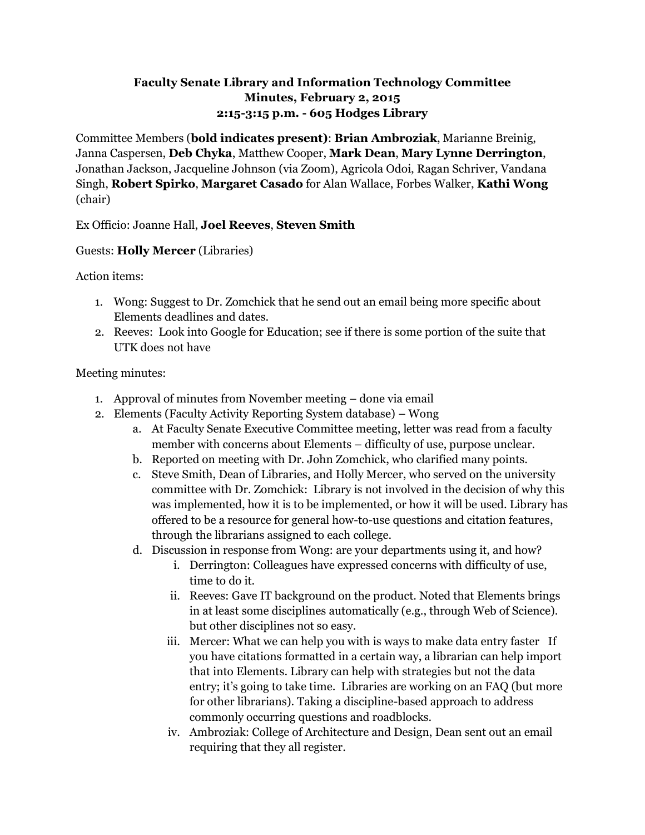## **Faculty Senate Library and Information Technology Committee Minutes, February 2, 2015 2:15-3:15 p.m. - 605 Hodges Library**

Committee Members (**bold indicates present)**: **Brian Ambroziak**, Marianne Breinig, Janna Caspersen, **Deb Chyka**, Matthew Cooper, **Mark Dean**, **Mary Lynne Derrington**, Jonathan Jackson, Jacqueline Johnson (via Zoom), Agricola Odoi, Ragan Schriver, Vandana Singh, **Robert Spirko**, **Margaret Casado** for Alan Wallace, Forbes Walker, **Kathi Wong** (chair)

Ex Officio: Joanne Hall, **Joel Reeves**, **Steven Smith**

## Guests: **Holly Mercer** (Libraries)

Action items:

- 1. Wong: Suggest to Dr. Zomchick that he send out an email being more specific about Elements deadlines and dates.
- 2. Reeves: Look into Google for Education; see if there is some portion of the suite that UTK does not have

## Meeting minutes:

- 1. Approval of minutes from November meeting done via email
- 2. Elements (Faculty Activity Reporting System database) Wong
	- a. At Faculty Senate Executive Committee meeting, letter was read from a faculty member with concerns about Elements – difficulty of use, purpose unclear.
	- b. Reported on meeting with Dr. John Zomchick, who clarified many points.
	- c. Steve Smith, Dean of Libraries, and Holly Mercer, who served on the university committee with Dr. Zomchick: Library is not involved in the decision of why this was implemented, how it is to be implemented, or how it will be used. Library has offered to be a resource for general how-to-use questions and citation features, through the librarians assigned to each college.
	- d. Discussion in response from Wong: are your departments using it, and how?
		- i. Derrington: Colleagues have expressed concerns with difficulty of use, time to do it.
		- ii. Reeves: Gave IT background on the product. Noted that Elements brings in at least some disciplines automatically (e.g., through Web of Science). but other disciplines not so easy.
		- iii. Mercer: What we can help you with is ways to make data entry faster If you have citations formatted in a certain way, a librarian can help import that into Elements. Library can help with strategies but not the data entry; it's going to take time. Libraries are working on an FAQ (but more for other librarians). Taking a discipline-based approach to address commonly occurring questions and roadblocks.
		- iv. Ambroziak: College of Architecture and Design, Dean sent out an email requiring that they all register.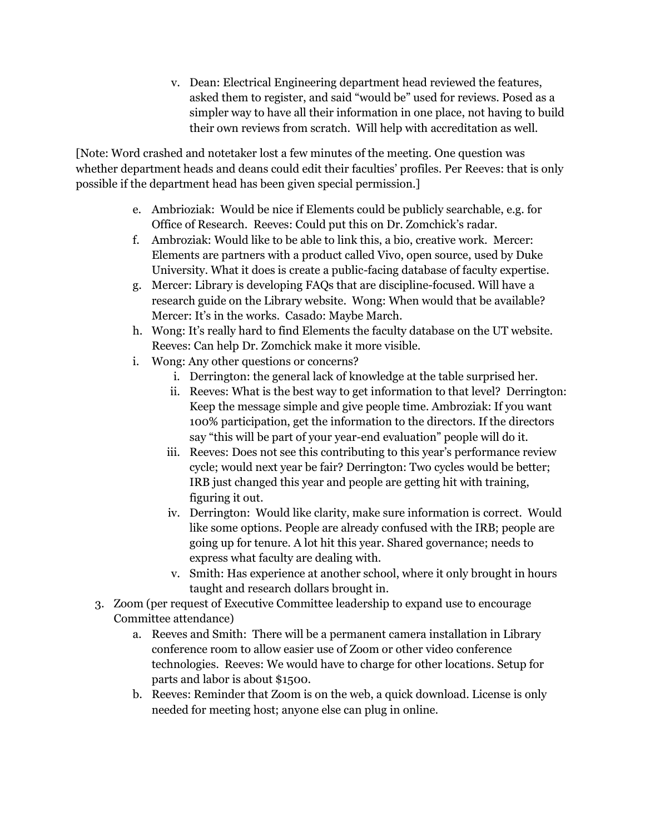v. Dean: Electrical Engineering department head reviewed the features, asked them to register, and said "would be" used for reviews. Posed as a simpler way to have all their information in one place, not having to build their own reviews from scratch. Will help with accreditation as well.

[Note: Word crashed and notetaker lost a few minutes of the meeting. One question was whether department heads and deans could edit their faculties' profiles. Per Reeves: that is only possible if the department head has been given special permission.]

- e. Ambrioziak: Would be nice if Elements could be publicly searchable, e.g. for Office of Research. Reeves: Could put this on Dr. Zomchick's radar.
- f. Ambroziak: Would like to be able to link this, a bio, creative work. Mercer: Elements are partners with a product called Vivo, open source, used by Duke University. What it does is create a public-facing database of faculty expertise.
- g. Mercer: Library is developing FAQs that are discipline-focused. Will have a research guide on the Library website. Wong: When would that be available? Mercer: It's in the works. Casado: Maybe March.
- h. Wong: It's really hard to find Elements the faculty database on the UT website. Reeves: Can help Dr. Zomchick make it more visible.
- i. Wong: Any other questions or concerns?
	- i. Derrington: the general lack of knowledge at the table surprised her.
	- ii. Reeves: What is the best way to get information to that level? Derrington: Keep the message simple and give people time. Ambroziak: If you want 100% participation, get the information to the directors. If the directors say "this will be part of your year-end evaluation" people will do it.
	- iii. Reeves: Does not see this contributing to this year's performance review cycle; would next year be fair? Derrington: Two cycles would be better; IRB just changed this year and people are getting hit with training, figuring it out.
	- iv. Derrington: Would like clarity, make sure information is correct. Would like some options. People are already confused with the IRB; people are going up for tenure. A lot hit this year. Shared governance; needs to express what faculty are dealing with.
	- v. Smith: Has experience at another school, where it only brought in hours taught and research dollars brought in.
- 3. Zoom (per request of Executive Committee leadership to expand use to encourage Committee attendance)
	- a. Reeves and Smith: There will be a permanent camera installation in Library conference room to allow easier use of Zoom or other video conference technologies. Reeves: We would have to charge for other locations. Setup for parts and labor is about \$1500.
	- b. Reeves: Reminder that Zoom is on the web, a quick download. License is only needed for meeting host; anyone else can plug in online.